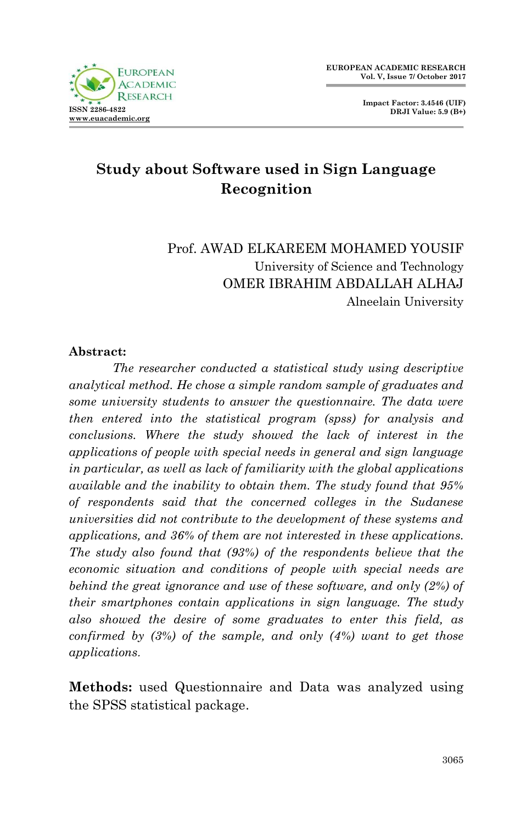

**Impact Factor: 3.4546 (UIF) DRJI Value: 5.9 (B+)**

# **Study about Software used in Sign Language Recognition**

#### Prof. AWAD ELKAREEM MOHAMED YOUSIF University of Science and Technology OMER IBRAHIM ABDALLAH ALHAJ Alneelain University

#### **Abstract:**

*The researcher conducted a statistical study using descriptive analytical method. He chose a simple random sample of graduates and some university students to answer the questionnaire. The data were then entered into the statistical program (spss) for analysis and conclusions. Where the study showed the lack of interest in the applications of people with special needs in general and sign language in particular, as well as lack of familiarity with the global applications available and the inability to obtain them. The study found that 95% of respondents said that the concerned colleges in the Sudanese universities did not contribute to the development of these systems and applications, and 36% of them are not interested in these applications. The study also found that (93%) of the respondents believe that the economic situation and conditions of people with special needs are behind the great ignorance and use of these software, and only (2%) of their smartphones contain applications in sign language. The study also showed the desire of some graduates to enter this field, as confirmed by (3%) of the sample, and only (4%) want to get those applications*.

**Methods:** used Questionnaire and Data was analyzed using the SPSS statistical package.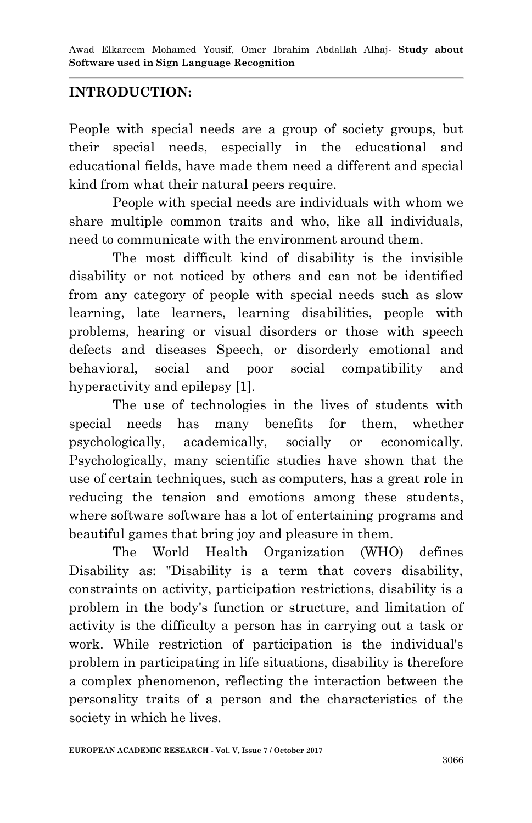#### **INTRODUCTION:**

People with special needs are a group of society groups, but their special needs, especially in the educational and educational fields, have made them need a different and special kind from what their natural peers require.

People with special needs are individuals with whom we share multiple common traits and who, like all individuals, need to communicate with the environment around them.

The most difficult kind of disability is the invisible disability or not noticed by others and can not be identified from any category of people with special needs such as slow learning, late learners, learning disabilities, people with problems, hearing or visual disorders or those with speech defects and diseases Speech, or disorderly emotional and behavioral, social and poor social compatibility and hyperactivity and epilepsy [1].

The use of technologies in the lives of students with special needs has many benefits for them, whether psychologically, academically, socially or economically. Psychologically, many scientific studies have shown that the use of certain techniques, such as computers, has a great role in reducing the tension and emotions among these students, where software software has a lot of entertaining programs and beautiful games that bring joy and pleasure in them.

The World Health Organization (WHO) defines Disability as: "Disability is a term that covers disability, constraints on activity, participation restrictions, disability is a problem in the body's function or structure, and limitation of activity is the difficulty a person has in carrying out a task or work. While restriction of participation is the individual's problem in participating in life situations, disability is therefore a complex phenomenon, reflecting the interaction between the personality traits of a person and the characteristics of the society in which he lives.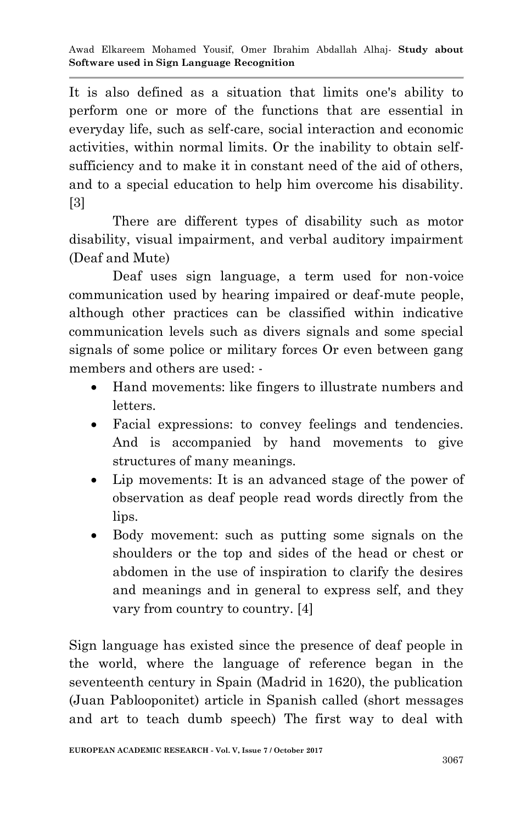It is also defined as a situation that limits one's ability to perform one or more of the functions that are essential in everyday life, such as self-care, social interaction and economic activities, within normal limits. Or the inability to obtain selfsufficiency and to make it in constant need of the aid of others, and to a special education to help him overcome his disability. [3]

There are different types of disability such as motor disability, visual impairment, and verbal auditory impairment (Deaf and Mute)

 Deaf uses sign language, a term used for non-voice communication used by hearing impaired or deaf-mute people, although other practices can be classified within indicative communication levels such as divers signals and some special signals of some police or military forces Or even between gang members and others are used: -

- Hand movements: like fingers to illustrate numbers and letters.
- Facial expressions: to convey feelings and tendencies. And is accompanied by hand movements to give structures of many meanings.
- Lip movements: It is an advanced stage of the power of observation as deaf people read words directly from the lips.
- Body movement: such as putting some signals on the shoulders or the top and sides of the head or chest or abdomen in the use of inspiration to clarify the desires and meanings and in general to express self, and they vary from country to country. [4]

Sign language has existed since the presence of deaf people in the world, where the language of reference began in the seventeenth century in Spain (Madrid in 1620), the publication (Juan Pablooponitet) article in Spanish called (short messages and art to teach dumb speech) The first way to deal with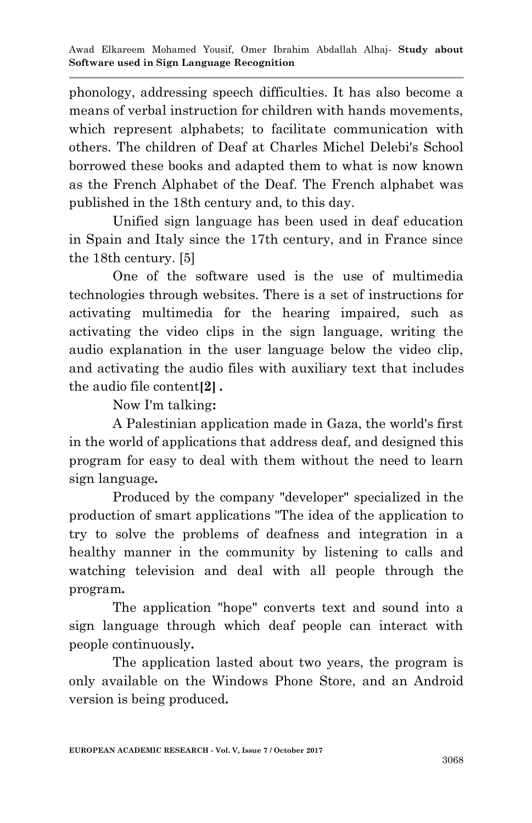phonology, addressing speech difficulties. It has also become a means of verbal instruction for children with hands movements, which represent alphabets; to facilitate communication with others. The children of Deaf at Charles Michel Delebi's School borrowed these books and adapted them to what is now known as the French Alphabet of the Deaf. The French alphabet was published in the 18th century and, to this day.

Unified sign language has been used in deaf education in Spain and Italy since the 17th century, and in France since the 18th century. [5]

One of the software used is the use of multimedia technologies through websites. There is a set of instructions for activating multimedia for the hearing impaired, such as activating the video clips in the sign language, writing the audio explanation in the user language below the video clip, and activating the audio files with auxiliary text that includes the audio file content**]2[ .**

Now I'm talking**:**

A Palestinian application made in Gaza, the world's first in the world of applications that address deaf, and designed this program for easy to deal with them without the need to learn sign language**.**

Produced by the company "developer" specialized in the production of smart applications "The idea of the application to try to solve the problems of deafness and integration in a healthy manner in the community by listening to calls and watching television and deal with all people through the program**.**

The application "hope" converts text and sound into a sign language through which deaf people can interact with people continuously**.**

The application lasted about two years, the program is only available on the Windows Phone Store, and an Android version is being produced**.**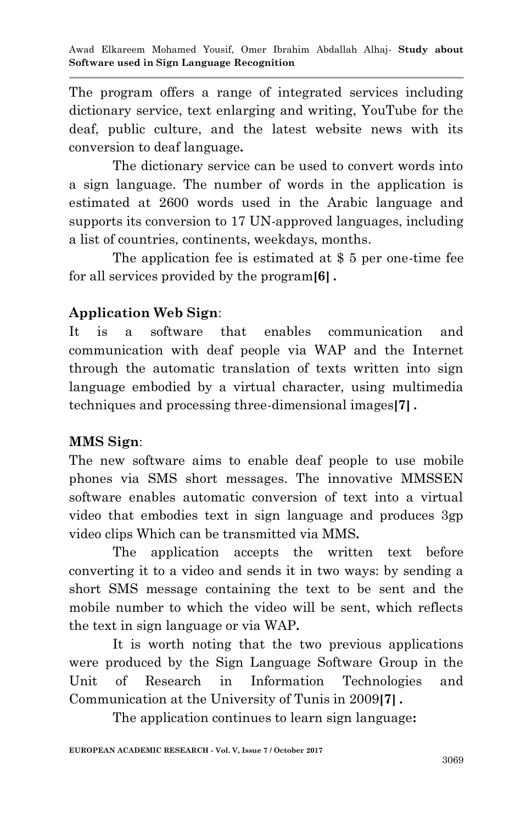The program offers a range of integrated services including dictionary service, text enlarging and writing, YouTube for the deaf, public culture, and the latest website news with its conversion to deaf language**.**

The dictionary service can be used to convert words into a sign language. The number of words in the application is estimated at 2600 words used in the Arabic language and supports its conversion to 17 UN-approved languages, including a list of countries, continents, weekdays, months.

The application fee is estimated at \$ 5 per one-time fee for all services provided by the program**]6[ .**

### **Application Web Sign**:

It is a software that enables communication and communication with deaf people via WAP and the Internet through the automatic translation of texts written into sign language embodied by a virtual character, using multimedia techniques and processing three-dimensional images**]7[ .**

## **MMS Sign**:

The new software aims to enable deaf people to use mobile phones via SMS short messages. The innovative MMSSEN software enables automatic conversion of text into a virtual video that embodies text in sign language and produces 3gp video clips Which can be transmitted via MMS**.**

The application accepts the written text before converting it to a video and sends it in two ways: by sending a short SMS message containing the text to be sent and the mobile number to which the video will be sent, which reflects the text in sign language or via WAP**.**

It is worth noting that the two previous applications were produced by the Sign Language Software Group in the Unit of Research in Information Technologies and Communication at the University of Tunis in 2009**]7[ .**

The application continues to learn sign language**:**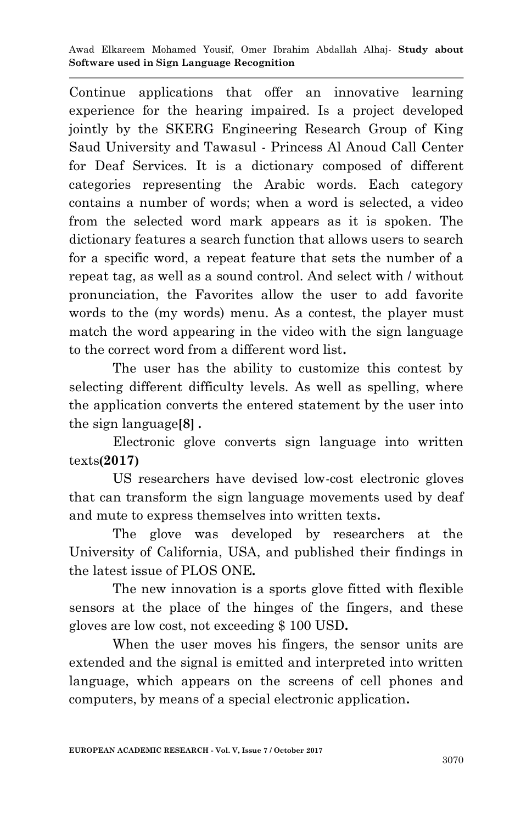Awad Elkareem Mohamed Yousif, Omer Ibrahim Abdallah Alhaj*-* **Study about Software used in Sign Language Recognition**

Continue applications that offer an innovative learning experience for the hearing impaired. Is a project developed jointly by the SKERG Engineering Research Group of King Saud University and Tawasul - Princess Al Anoud Call Center for Deaf Services. It is a dictionary composed of different categories representing the Arabic words. Each category contains a number of words; when a word is selected, a video from the selected word mark appears as it is spoken. The dictionary features a search function that allows users to search for a specific word, a repeat feature that sets the number of a repeat tag, as well as a sound control. And select with / without pronunciation, the Favorites allow the user to add favorite words to the (my words) menu. As a contest, the player must match the word appearing in the video with the sign language to the correct word from a different word list**.**

The user has the ability to customize this contest by selecting different difficulty levels. As well as spelling, where the application converts the entered statement by the user into the sign language**]8[ .**

Electronic glove converts sign language into written texts**)2107(**

US researchers have devised low-cost electronic gloves that can transform the sign language movements used by deaf and mute to express themselves into written texts**.**

The glove was developed by researchers at the University of California, USA, and published their findings in the latest issue of PLOS ONE**.**

The new innovation is a sports glove fitted with flexible sensors at the place of the hinges of the fingers, and these gloves are low cost, not exceeding \$ 100 USD**.**

When the user moves his fingers, the sensor units are extended and the signal is emitted and interpreted into written language, which appears on the screens of cell phones and computers, by means of a special electronic application**.**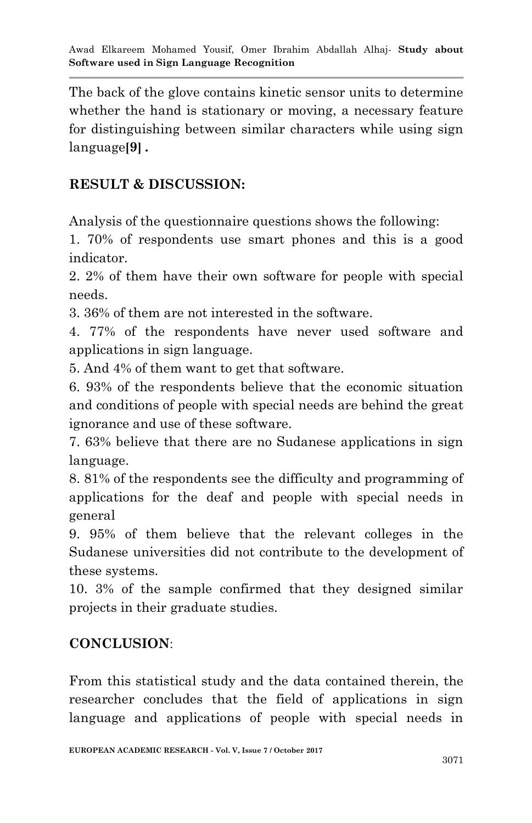The back of the glove contains kinetic sensor units to determine whether the hand is stationary or moving, a necessary feature for distinguishing between similar characters while using sign language**]9[ .**

#### **RESULT & DISCUSSION:**

Analysis of the questionnaire questions shows the following:

1. 70% of respondents use smart phones and this is a good indicator.

2. 2% of them have their own software for people with special needs.

3. 36% of them are not interested in the software.

4. 77% of the respondents have never used software and applications in sign language.

5. And 4% of them want to get that software.

6. 93% of the respondents believe that the economic situation and conditions of people with special needs are behind the great ignorance and use of these software.

7. 63% believe that there are no Sudanese applications in sign language.

8. 81% of the respondents see the difficulty and programming of applications for the deaf and people with special needs in general

9. 95% of them believe that the relevant colleges in the Sudanese universities did not contribute to the development of these systems.

10. 3% of the sample confirmed that they designed similar projects in their graduate studies.

#### **CONCLUSION**:

From this statistical study and the data contained therein, the researcher concludes that the field of applications in sign language and applications of people with special needs in